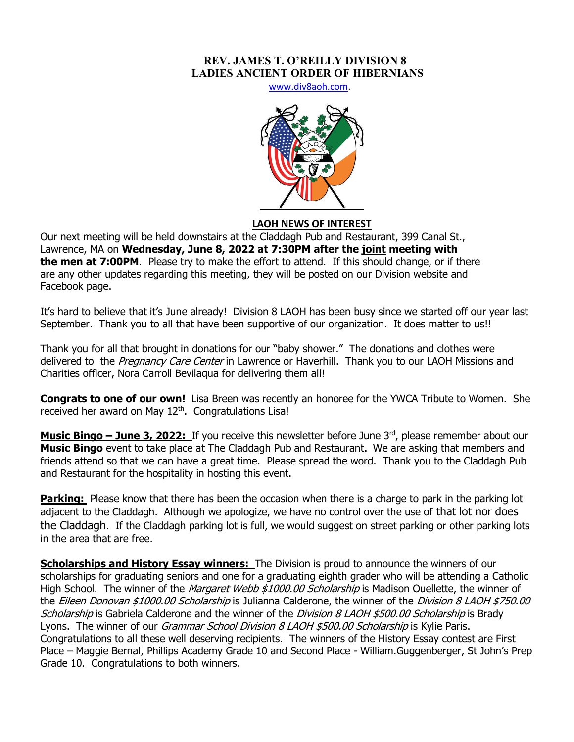## **REV. JAMES T. O'REILLY DIVISION 8 LADIES ANCIENT ORDER OF HIBERNIANS**

www.div8aoh.com.



## **LAOH NEWS OF INTEREST**

Our next meeting will be held downstairs at the Claddagh Pub and Restaurant, 399 Canal St., Lawrence, MA on **Wednesday, June 8, 2022 at 7:30PM after the joint meeting with the men at 7:00PM**. Please try to make the effort to attend. If this should change, or if there are any other updates regarding this meeting, they will be posted on our Division website and Facebook page.

It's hard to believe that it's June already! Division 8 LAOH has been busy since we started off our year last September. Thank you to all that have been supportive of our organization. It does matter to us!!

Thank you for all that brought in donations for our "baby shower." The donations and clothes were delivered to the Pregnancy Care Center in Lawrence or Haverhill. Thank you to our LAOH Missions and Charities officer, Nora Carroll Bevilaqua for delivering them all!

**Congrats to one of our own!** Lisa Breen was recently an honoree for the YWCA Tribute to Women. She received her award on May 12<sup>th</sup>. Congratulations Lisa!

**Music Bingo – June 3, 2022:** If you receive this newsletter before June 3<sup>rd</sup>, please remember about our **Music Bingo** event to take place at The Claddagh Pub and Restaurant**.** We are asking that members and friends attend so that we can have a great time. Please spread the word. Thank you to the Claddagh Pub and Restaurant for the hospitality in hosting this event.

**Parking:** Please know that there has been the occasion when there is a charge to park in the parking lot adjacent to the Claddagh. Although we apologize, we have no control over the use of that lot nor does the Claddagh. If the Claddagh parking lot is full, we would suggest on street parking or other parking lots in the area that are free.

**Scholarships and History Essay winners:** The Division is proud to announce the winners of our scholarships for graduating seniors and one for a graduating eighth grader who will be attending a Catholic High School. The winner of the Margaret Webb \$1000.00 Scholarship is Madison Ouellette, the winner of the Eileen Donovan \$1000.00 Scholarship is Julianna Calderone, the winner of the Division 8 LAOH \$750.00 Scholarship is Gabriela Calderone and the winner of the Division 8 LAOH \$500.00 Scholarship is Brady Lyons. The winner of our Grammar School Division 8 LAOH \$500.00 Scholarship is Kylie Paris. Congratulations to all these well deserving recipients. The winners of the History Essay contest are First Place – Maggie Bernal, Phillips Academy Grade 10 and Second Place - William.Guggenberger, St John's Prep Grade 10. Congratulations to both winners.